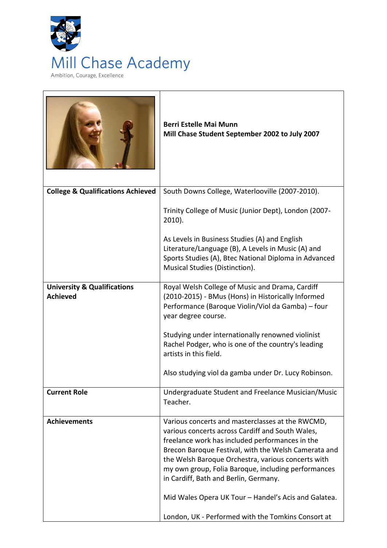

|                                                           | <b>Berri Estelle Mai Munn</b><br>Mill Chase Student September 2002 to July 2007                                                                                                                                                                                                                                                                                                                                                                                                     |
|-----------------------------------------------------------|-------------------------------------------------------------------------------------------------------------------------------------------------------------------------------------------------------------------------------------------------------------------------------------------------------------------------------------------------------------------------------------------------------------------------------------------------------------------------------------|
| <b>College &amp; Qualifications Achieved</b>              | South Downs College, Waterlooville (2007-2010).                                                                                                                                                                                                                                                                                                                                                                                                                                     |
|                                                           | Trinity College of Music (Junior Dept), London (2007-<br>$2010$ ).                                                                                                                                                                                                                                                                                                                                                                                                                  |
|                                                           | As Levels in Business Studies (A) and English<br>Literature/Language (B), A Levels in Music (A) and<br>Sports Studies (A), Btec National Diploma in Advanced<br>Musical Studies (Distinction).                                                                                                                                                                                                                                                                                      |
| <b>University &amp; Qualifications</b><br><b>Achieved</b> | Royal Welsh College of Music and Drama, Cardiff<br>(2010-2015) - BMus (Hons) in Historically Informed<br>Performance (Baroque Violin/Viol da Gamba) – four<br>year degree course.                                                                                                                                                                                                                                                                                                   |
|                                                           | Studying under internationally renowned violinist<br>Rachel Podger, who is one of the country's leading<br>artists in this field.                                                                                                                                                                                                                                                                                                                                                   |
|                                                           | Also studying viol da gamba under Dr. Lucy Robinson.                                                                                                                                                                                                                                                                                                                                                                                                                                |
| <b>Current Role</b>                                       | Undergraduate Student and Freelance Musician/Music<br>Teacher.                                                                                                                                                                                                                                                                                                                                                                                                                      |
| <b>Achievements</b>                                       | Various concerts and masterclasses at the RWCMD,<br>various concerts across Cardiff and South Wales,<br>freelance work has included performances in the<br>Brecon Baroque Festival, with the Welsh Camerata and<br>the Welsh Baroque Orchestra, various concerts with<br>my own group, Folia Baroque, including performances<br>in Cardiff, Bath and Berlin, Germany.<br>Mid Wales Opera UK Tour - Handel's Acis and Galatea.<br>London, UK - Performed with the Tomkins Consort at |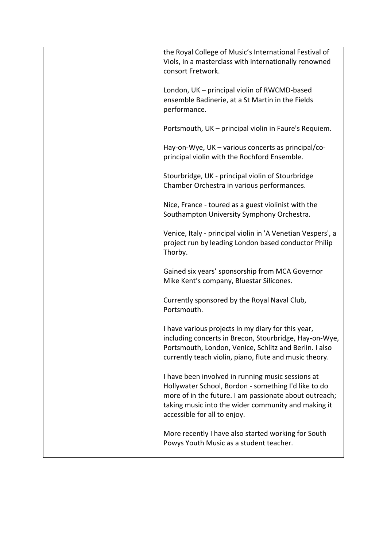| the Royal College of Music's International Festival of<br>Viols, in a masterclass with internationally renowned<br>consort Fretwork.                                                                                                                       |
|------------------------------------------------------------------------------------------------------------------------------------------------------------------------------------------------------------------------------------------------------------|
| London, UK - principal violin of RWCMD-based<br>ensemble Badinerie, at a St Martin in the Fields<br>performance.                                                                                                                                           |
| Portsmouth, UK - principal violin in Faure's Requiem.                                                                                                                                                                                                      |
| Hay-on-Wye, UK – various concerts as principal/co-<br>principal violin with the Rochford Ensemble.                                                                                                                                                         |
| Stourbridge, UK - principal violin of Stourbridge<br>Chamber Orchestra in various performances.                                                                                                                                                            |
| Nice, France - toured as a guest violinist with the<br>Southampton University Symphony Orchestra.                                                                                                                                                          |
| Venice, Italy - principal violin in 'A Venetian Vespers', a<br>project run by leading London based conductor Philip<br>Thorby.                                                                                                                             |
| Gained six years' sponsorship from MCA Governor<br>Mike Kent's company, Bluestar Silicones.                                                                                                                                                                |
| Currently sponsored by the Royal Naval Club,<br>Portsmouth.                                                                                                                                                                                                |
| I have various projects in my diary for this year,<br>including concerts in Brecon, Stourbridge, Hay-on-Wye,<br>Portsmouth, London, Venice, Schlitz and Berlin. I also<br>currently teach violin, piano, flute and music theory.                           |
| I have been involved in running music sessions at<br>Hollywater School, Bordon - something I'd like to do<br>more of in the future. I am passionate about outreach;<br>taking music into the wider community and making it<br>accessible for all to enjoy. |
| More recently I have also started working for South<br>Powys Youth Music as a student teacher.                                                                                                                                                             |